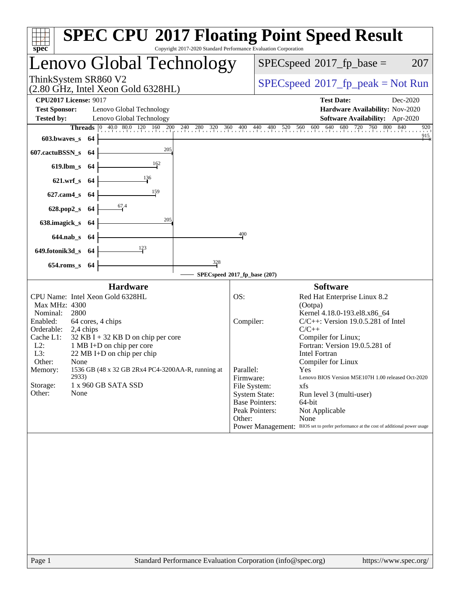| <b>SPEC CPU®2017 Floating Point Speed Result</b><br>Copyright 2017-2020 Standard Performance Evaluation Corporation<br>$spec^*$                                                                                                                                                                                                                                                                                                       |                                                                                                                                                                                                                                                                                                                                                                                                                                                                                                                                                                                                                         |  |  |  |  |
|---------------------------------------------------------------------------------------------------------------------------------------------------------------------------------------------------------------------------------------------------------------------------------------------------------------------------------------------------------------------------------------------------------------------------------------|-------------------------------------------------------------------------------------------------------------------------------------------------------------------------------------------------------------------------------------------------------------------------------------------------------------------------------------------------------------------------------------------------------------------------------------------------------------------------------------------------------------------------------------------------------------------------------------------------------------------------|--|--|--|--|
| Lenovo Global Technology                                                                                                                                                                                                                                                                                                                                                                                                              | $SPEC speed^{\circ}2017\_fp\_base =$<br>207                                                                                                                                                                                                                                                                                                                                                                                                                                                                                                                                                                             |  |  |  |  |
| ThinkSystem SR860 V2<br>$(2.80 \text{ GHz}, \text{Intel Xeon Gold } 6328 \text{HL})$                                                                                                                                                                                                                                                                                                                                                  | $SPEC speed^{\circ}2017\_fp\_peak = Not Run$                                                                                                                                                                                                                                                                                                                                                                                                                                                                                                                                                                            |  |  |  |  |
| <b>CPU2017 License: 9017</b><br><b>Test Sponsor:</b><br>Lenovo Global Technology<br><b>Tested by:</b><br>Lenovo Global Technology<br>603.bwaves_s 64<br>205<br>607.cactuBSSN_s<br>-64                                                                                                                                                                                                                                                 | <b>Test Date:</b><br>Dec-2020<br>Hardware Availability: Nov-2020<br>Software Availability: Apr-2020<br>840<br><b>Threads</b> $\begin{bmatrix} 0 & 40.0 & 80.0 & 120 & 160 & 200 & 240 & 280 & 320 & 360 & 400 & 440 & 480 & 520 & 560 & 600 & 640 & 680 & 720 & 760 & 800 \end{bmatrix}$<br>920<br>$^{915}$                                                                                                                                                                                                                                                                                                             |  |  |  |  |
| $\frac{162}{1}$<br>619.lbm_s 64<br>136<br>621.wrf_s 64<br>159<br>$627$ .cam $4$ <sub>S</sub><br>- 64<br>67.4<br>628.pop2_s 64<br>205                                                                                                                                                                                                                                                                                                  |                                                                                                                                                                                                                                                                                                                                                                                                                                                                                                                                                                                                                         |  |  |  |  |
| 638.imagick_s<br>-64<br>644.nab_s 64<br>123<br>649.fotonik3d_s 64<br>328<br>654.roms_s 64                                                                                                                                                                                                                                                                                                                                             | 400<br>SPECspeed®2017_fp_base (207)                                                                                                                                                                                                                                                                                                                                                                                                                                                                                                                                                                                     |  |  |  |  |
| <b>Hardware</b><br>CPU Name: Intel Xeon Gold 6328HL<br>Max MHz: 4300<br>Nominal:<br>2800<br>Enabled:<br>64 cores, 4 chips<br>Orderable:<br>2,4 chips<br>Cache L1:<br>$32$ KB I + 32 KB D on chip per core<br>$L2$ :<br>1 MB I+D on chip per core<br>L3:<br>22 MB I+D on chip per chip<br>Other:<br>None<br>1536 GB (48 x 32 GB 2Rx4 PC4-3200AA-R, running at<br>Memory:<br>2933)<br>Storage:<br>1 x 960 GB SATA SSD<br>Other:<br>None | <b>Software</b><br>OS:<br>Red Hat Enterprise Linux 8.2<br>(Ootpa)<br>Kernel 4.18.0-193.el8.x86_64<br>Compiler:<br>$C/C++$ : Version 19.0.5.281 of Intel<br>$C/C++$<br>Compiler for Linux;<br>Fortran: Version 19.0.5.281 of<br>Intel Fortran<br>Compiler for Linux<br>Parallel:<br>Yes<br>Firmware:<br>Lenovo BIOS Version M5E107H 1.00 released Oct-2020<br>File System:<br>xfs<br><b>System State:</b><br>Run level 3 (multi-user)<br><b>Base Pointers:</b><br>64-bit<br>Peak Pointers:<br>Not Applicable<br>None<br>Other:<br>Power Management: BIOS set to prefer performance at the cost of additional power usage |  |  |  |  |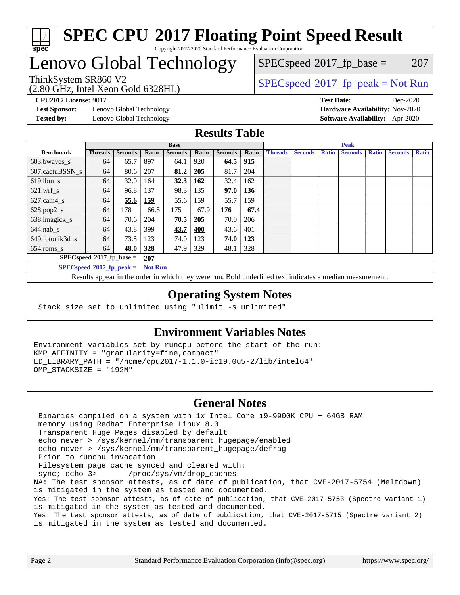

#### **[SPEC CPU](http://www.spec.org/auto/cpu2017/Docs/result-fields.html#SPECCPU2017FloatingPointSpeedResult)[2017 Floating Point Speed Result](http://www.spec.org/auto/cpu2017/Docs/result-fields.html#SPECCPU2017FloatingPointSpeedResult)** Copyright 2017-2020 Standard Performance Evaluation Corporation

## Lenovo Global Technology

(2.80 GHz, Intel Xeon Gold 6328HL)

 $SPECspeed^{\circledcirc}2017_fp\_base = 207$  $SPECspeed^{\circledcirc}2017_fp\_base = 207$ 

### ThinkSystem SR860 V2<br>  $\begin{array}{c}\n\text{SPEC speed} \text{?}2017\_fp\_peak = Not Run \\
\text{SPEC speed} \text{?}2017\_fp\_peak = Not Run\n\end{array}$

**[CPU2017 License:](http://www.spec.org/auto/cpu2017/Docs/result-fields.html#CPU2017License)** 9017 **[Test Date:](http://www.spec.org/auto/cpu2017/Docs/result-fields.html#TestDate)** Dec-2020

**[Test Sponsor:](http://www.spec.org/auto/cpu2017/Docs/result-fields.html#TestSponsor)** Lenovo Global Technology **[Hardware Availability:](http://www.spec.org/auto/cpu2017/Docs/result-fields.html#HardwareAvailability)** Nov-2020 **[Tested by:](http://www.spec.org/auto/cpu2017/Docs/result-fields.html#Testedby)** Lenovo Global Technology **[Software Availability:](http://www.spec.org/auto/cpu2017/Docs/result-fields.html#SoftwareAvailability)** Apr-2020

#### **[Results Table](http://www.spec.org/auto/cpu2017/Docs/result-fields.html#ResultsTable)**

|                             | <b>Base</b>    |                |                |                | <b>Peak</b> |                |            |                |                |              |                |              |                |              |
|-----------------------------|----------------|----------------|----------------|----------------|-------------|----------------|------------|----------------|----------------|--------------|----------------|--------------|----------------|--------------|
| <b>Benchmark</b>            | <b>Threads</b> | <b>Seconds</b> | Ratio          | <b>Seconds</b> | Ratio       | <b>Seconds</b> | Ratio      | <b>Threads</b> | <b>Seconds</b> | <b>Ratio</b> | <b>Seconds</b> | <b>Ratio</b> | <b>Seconds</b> | <b>Ratio</b> |
| 603.bwayes s                | 64             | 65.7           | 897            | 64.1           | 920         | 64.5           | 915        |                |                |              |                |              |                |              |
| 607.cactuBSSN s             | 64             | 80.6           | 207            | 81.2           | 205         | 81.7           | 204        |                |                |              |                |              |                |              |
| $619.1$ bm s                | 64             | 32.0           | 164            | 32.3           | 162         | 32.4           | 162        |                |                |              |                |              |                |              |
| $621.wrf$ s                 | 64             | 96.8           | 137            | 98.3           | 135         | 97.0           | 136        |                |                |              |                |              |                |              |
| $627$ .cam $4$ <sub>s</sub> | 64             | 55.6           | 159            | 55.6           | 159         | 55.7           | 159        |                |                |              |                |              |                |              |
| $628.pop2_s$                | 64             | 178            | 66.5           | 175            | 67.9        | 176            | 67.4       |                |                |              |                |              |                |              |
| 638.imagick_s               | 64             | 70.6           | 204            | 70.5           | 205         | 70.0           | 206        |                |                |              |                |              |                |              |
| $644$ .nab s                | 64             | 43.8           | 399            | 43.7           | 400         | 43.6           | 401        |                |                |              |                |              |                |              |
| 649.fotonik3d s             | 64             | 73.8           | 123            | 74.0           | 123         | 74.0           | <u>123</u> |                |                |              |                |              |                |              |
| $654$ .roms s               | 64             | 48.0           | 328            | 47.9           | 329         | 48.1           | 328        |                |                |              |                |              |                |              |
| $SPECspeed*2017_fp\_base =$ |                |                | 207            |                |             |                |            |                |                |              |                |              |                |              |
| $SPECspeed*2017_fp\_peak =$ |                |                | <b>Not Run</b> |                |             |                |            |                |                |              |                |              |                |              |

Results appear in the [order in which they were run.](http://www.spec.org/auto/cpu2017/Docs/result-fields.html#RunOrder) Bold underlined text [indicates a median measurement](http://www.spec.org/auto/cpu2017/Docs/result-fields.html#Median).

#### **[Operating System Notes](http://www.spec.org/auto/cpu2017/Docs/result-fields.html#OperatingSystemNotes)**

Stack size set to unlimited using "ulimit -s unlimited"

#### **[Environment Variables Notes](http://www.spec.org/auto/cpu2017/Docs/result-fields.html#EnvironmentVariablesNotes)**

Environment variables set by runcpu before the start of the run: KMP\_AFFINITY = "granularity=fine,compact" LD\_LIBRARY\_PATH = "/home/cpu2017-1.1.0-ic19.0u5-2/lib/intel64" OMP\_STACKSIZE = "192M"

#### **[General Notes](http://www.spec.org/auto/cpu2017/Docs/result-fields.html#GeneralNotes)**

 Binaries compiled on a system with 1x Intel Core i9-9900K CPU + 64GB RAM memory using Redhat Enterprise Linux 8.0 Transparent Huge Pages disabled by default echo never > /sys/kernel/mm/transparent\_hugepage/enabled echo never > /sys/kernel/mm/transparent\_hugepage/defrag Prior to runcpu invocation Filesystem page cache synced and cleared with: sync; echo 3> /proc/sys/vm/drop\_caches NA: The test sponsor attests, as of date of publication, that CVE-2017-5754 (Meltdown) is mitigated in the system as tested and documented. Yes: The test sponsor attests, as of date of publication, that CVE-2017-5753 (Spectre variant 1) is mitigated in the system as tested and documented. Yes: The test sponsor attests, as of date of publication, that CVE-2017-5715 (Spectre variant 2) is mitigated in the system as tested and documented.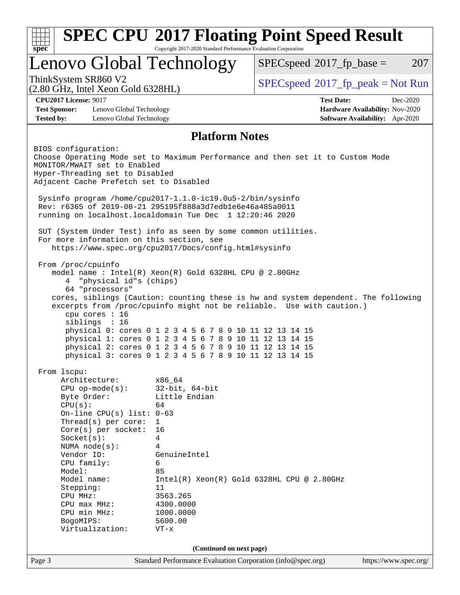| <b>SPEC CPU®2017 Floating Point Speed Result</b><br>Copyright 2017-2020 Standard Performance Evaluation Corporation<br>spec <sup>®</sup>                                                                                                                                                                          |                                                                                                                                                                                                                                                                                                                               |                                       |                                                                                                                                                             |                                                                                |  |  |
|-------------------------------------------------------------------------------------------------------------------------------------------------------------------------------------------------------------------------------------------------------------------------------------------------------------------|-------------------------------------------------------------------------------------------------------------------------------------------------------------------------------------------------------------------------------------------------------------------------------------------------------------------------------|---------------------------------------|-------------------------------------------------------------------------------------------------------------------------------------------------------------|--------------------------------------------------------------------------------|--|--|
| Lenovo Global Technology                                                                                                                                                                                                                                                                                          |                                                                                                                                                                                                                                                                                                                               |                                       | $SPEC speed^{\circ}2017\_fp\_base =$                                                                                                                        | 207                                                                            |  |  |
| ThinkSystem SR860 V2<br>(2.80 GHz, Intel Xeon Gold 6328HL)                                                                                                                                                                                                                                                        |                                                                                                                                                                                                                                                                                                                               |                                       | $SPEC speed^{\circ}2017\_fp\_peak = Not Run$                                                                                                                |                                                                                |  |  |
| <b>CPU2017 License: 9017</b><br><b>Test Sponsor:</b><br><b>Tested by:</b>                                                                                                                                                                                                                                         | Lenovo Global Technology<br>Lenovo Global Technology                                                                                                                                                                                                                                                                          |                                       | <b>Test Date:</b>                                                                                                                                           | Dec-2020<br>Hardware Availability: Nov-2020<br>Software Availability: Apr-2020 |  |  |
|                                                                                                                                                                                                                                                                                                                   |                                                                                                                                                                                                                                                                                                                               | <b>Platform Notes</b>                 |                                                                                                                                                             |                                                                                |  |  |
| BIOS configuration:<br>MONITOR/MWAIT set to Enabled<br>Hyper-Threading set to Disabled<br>Adjacent Cache Prefetch set to Disabled                                                                                                                                                                                 | Sysinfo program /home/cpu2017-1.1.0-ic19.0u5-2/bin/sysinfo<br>Rev: r6365 of 2019-08-21 295195f888a3d7edble6e46a485a0011                                                                                                                                                                                                       |                                       | Choose Operating Mode set to Maximum Performance and then set it to Custom Mode                                                                             |                                                                                |  |  |
| running on localhost.localdomain Tue Dec 1 12:20:46 2020<br>SUT (System Under Test) info as seen by some common utilities.<br>For more information on this section, see<br>https://www.spec.org/cpu2017/Docs/config.html#sysinfo                                                                                  |                                                                                                                                                                                                                                                                                                                               |                                       |                                                                                                                                                             |                                                                                |  |  |
| From /proc/cpuinfo<br>4<br>64 "processors"<br>cpu cores : 16<br>siblings : 16                                                                                                                                                                                                                                     | model name : Intel(R) Xeon(R) Gold 6328HL CPU @ 2.80GHz<br>"physical id"s (chips)<br>physical 0: cores 0 1 2 3 4 5 6 7 8 9 10 11 12 13 14 15<br>physical 1: cores 0 1 2 3 4 5 6 7 8 9 10 11 12 13 14 15<br>physical 2: cores 0 1 2 3 4 5 6 7 8 9 10 11 12 13 14 15<br>physical 3: cores 0 1 2 3 4 5 6 7 8 9 10 11 12 13 14 15 |                                       | cores, siblings (Caution: counting these is hw and system dependent. The following<br>excerpts from /proc/cpuinfo might not be reliable. Use with caution.) |                                                                                |  |  |
| From 1scpu:<br>Architecture:<br>$CPU$ op-mode( $s$ ):<br>Byte Order:<br>CPU(s):<br>$Thread(s)$ per core:<br>$Core(s)$ per socket:<br>Socket(s):<br>NUMA $node(s):$<br>Vendor ID:<br>CPU family:<br>Model:<br>Model name:<br>Stepping:<br>CPU MHz:<br>CPU max MHz:<br>CPU min MHz:<br>BogoMIPS:<br>Virtualization: | x86_64<br>64<br>On-line CPU(s) list: $0-63$<br>$\mathbf{1}$<br>16<br>4<br>4<br>GenuineIntel<br>6<br>85<br>11<br>3563.265<br>4300.0000<br>1000.0000<br>5600.00<br>$VT - x$                                                                                                                                                     | $32$ -bit, $64$ -bit<br>Little Endian | $Intel(R) Xeon(R) Gold 6328HL CPU @ 2.80GHz$                                                                                                                |                                                                                |  |  |
|                                                                                                                                                                                                                                                                                                                   |                                                                                                                                                                                                                                                                                                                               | (Continued on next page)              |                                                                                                                                                             |                                                                                |  |  |
| Page 3                                                                                                                                                                                                                                                                                                            |                                                                                                                                                                                                                                                                                                                               |                                       | Standard Performance Evaluation Corporation (info@spec.org)                                                                                                 | https://www.spec.org/                                                          |  |  |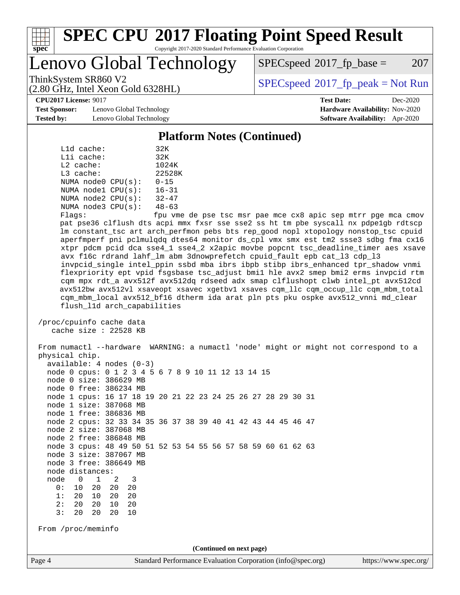

#### **[SPEC CPU](http://www.spec.org/auto/cpu2017/Docs/result-fields.html#SPECCPU2017FloatingPointSpeedResult)[2017 Floating Point Speed Result](http://www.spec.org/auto/cpu2017/Docs/result-fields.html#SPECCPU2017FloatingPointSpeedResult)** Copyright 2017-2020 Standard Performance Evaluation Corporation

Lenovo Global Technology

 $SPEC speed^{\circ}2017$  fp base = 207

(2.80 GHz, Intel Xeon Gold 6328HL)

ThinkSystem SR860 V2<br>  $\begin{array}{c}\n\text{SPEC speed} \text{?}2017\_fp\_peak = Not Run \\
\text{SPEC speed} \text{?}2017\_fp\_peak = Not Run\n\end{array}$ 

**[CPU2017 License:](http://www.spec.org/auto/cpu2017/Docs/result-fields.html#CPU2017License)** 9017 **[Test Date:](http://www.spec.org/auto/cpu2017/Docs/result-fields.html#TestDate)** Dec-2020

**[Test Sponsor:](http://www.spec.org/auto/cpu2017/Docs/result-fields.html#TestSponsor)** Lenovo Global Technology **[Hardware Availability:](http://www.spec.org/auto/cpu2017/Docs/result-fields.html#HardwareAvailability)** Nov-2020 **[Tested by:](http://www.spec.org/auto/cpu2017/Docs/result-fields.html#Testedby)** Lenovo Global Technology **[Software Availability:](http://www.spec.org/auto/cpu2017/Docs/result-fields.html#SoftwareAvailability)** Apr-2020

**[Platform Notes \(Continued\)](http://www.spec.org/auto/cpu2017/Docs/result-fields.html#PlatformNotes)**

|             | $L1d$ cache: |                    | 32K           |
|-------------|--------------|--------------------|---------------|
|             | $L1i$ cache: |                    | 32K           |
| $L2$ cache: |              |                    | 1024K         |
| $L3$ cache: |              |                    | 22528K        |
|             |              | NUMA node0 CPU(s): | $0 - 15$      |
|             |              | NUMA nodel CPU(s): | $16 - 31$     |
|             |              | NUMA node2 CPU(s): | $32 - 47$     |
|             |              | NUMA node3 CPU(s): | $48 - 63$     |
|             |              |                    | $\sim$ $\sim$ |

Flags: fpu vme de pse tsc msr pae mce cx8 apic sep mtrr pge mca cmov pat pse36 clflush dts acpi mmx fxsr sse sse2 ss ht tm pbe syscall nx pdpe1gb rdtscp lm constant\_tsc art arch\_perfmon pebs bts rep\_good nopl xtopology nonstop\_tsc cpuid aperfmperf pni pclmulqdq dtes64 monitor ds\_cpl vmx smx est tm2 ssse3 sdbg fma cx16 xtpr pdcm pcid dca sse4\_1 sse4\_2 x2apic movbe popcnt tsc\_deadline\_timer aes xsave avx f16c rdrand lahf\_lm abm 3dnowprefetch cpuid\_fault epb cat\_l3 cdp\_l3 invpcid\_single intel\_ppin ssbd mba ibrs ibpb stibp ibrs\_enhanced tpr\_shadow vnmi flexpriority ept vpid fsgsbase tsc\_adjust bmi1 hle avx2 smep bmi2 erms invpcid rtm cqm mpx rdt\_a avx512f avx512dq rdseed adx smap clflushopt clwb intel\_pt avx512cd avx512bw avx512vl xsaveopt xsavec xgetbv1 xsaves cqm\_llc cqm\_occup\_llc cqm\_mbm\_total cqm\_mbm\_local avx512\_bf16 dtherm ida arat pln pts pku ospke avx512\_vnni md\_clear flush\_l1d arch\_capabilities

 /proc/cpuinfo cache data cache size : 22528 KB

Page 4 Standard Performance Evaluation Corporation [\(info@spec.org\)](mailto:info@spec.org) <https://www.spec.org/> From numactl --hardware WARNING: a numactl 'node' might or might not correspond to a physical chip. available: 4 nodes (0-3) node 0 cpus: 0 1 2 3 4 5 6 7 8 9 10 11 12 13 14 15 node 0 size: 386629 MB node 0 free: 386234 MB node 1 cpus: 16 17 18 19 20 21 22 23 24 25 26 27 28 29 30 31 node 1 size: 387068 MB node 1 free: 386836 MB node 2 cpus: 32 33 34 35 36 37 38 39 40 41 42 43 44 45 46 47 node 2 size: 387068 MB node 2 free: 386848 MB node 3 cpus: 48 49 50 51 52 53 54 55 56 57 58 59 60 61 62 63 node 3 size: 387067 MB node 3 free: 386649 MB node distances: node 0 1 2 3 0: 10 20 20 20 1: 20 10 20 20 2: 20 20 10 20 3: 20 20 20 10 From /proc/meminfo **(Continued on next page)**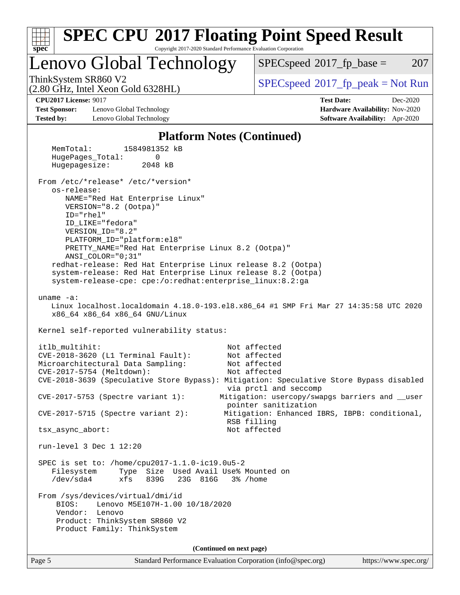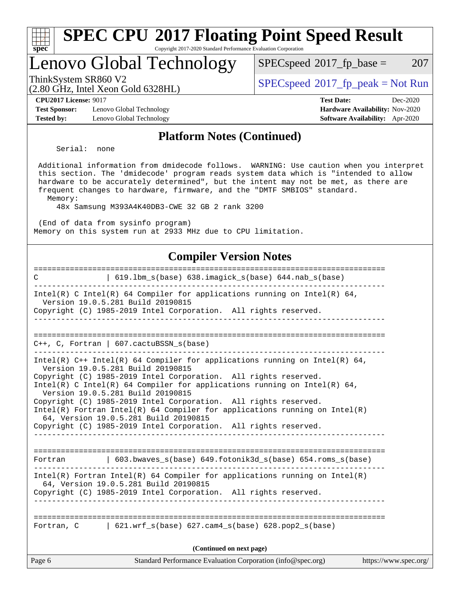| Lenovo Global Technology                                                                                                                                                                                                                                                                                                                                                                                                                                                                                          | 207<br>$SPEC speed^{\circ}2017\_fp\_base =$                        |
|-------------------------------------------------------------------------------------------------------------------------------------------------------------------------------------------------------------------------------------------------------------------------------------------------------------------------------------------------------------------------------------------------------------------------------------------------------------------------------------------------------------------|--------------------------------------------------------------------|
| ThinkSystem SR860 V2                                                                                                                                                                                                                                                                                                                                                                                                                                                                                              | $SPEC speed^{\circ}2017\_fp\_peak = Not Run$                       |
| (2.80 GHz, Intel Xeon Gold 6328HL)<br><b>CPU2017 License: 9017</b>                                                                                                                                                                                                                                                                                                                                                                                                                                                | <b>Test Date:</b><br>Dec-2020                                      |
| <b>Test Sponsor:</b><br>Lenovo Global Technology<br><b>Tested by:</b><br>Lenovo Global Technology                                                                                                                                                                                                                                                                                                                                                                                                                 | Hardware Availability: Nov-2020<br>Software Availability: Apr-2020 |
| <b>Platform Notes (Continued)</b>                                                                                                                                                                                                                                                                                                                                                                                                                                                                                 |                                                                    |
| Serial:<br>none                                                                                                                                                                                                                                                                                                                                                                                                                                                                                                   |                                                                    |
| Additional information from dmidecode follows. WARNING: Use caution when you interpret<br>this section. The 'dmidecode' program reads system data which is "intended to allow<br>hardware to be accurately determined", but the intent may not be met, as there are<br>frequent changes to hardware, firmware, and the "DMTF SMBIOS" standard.<br>Memory:<br>48x Samsung M393A4K40DB3-CWE 32 GB 2 rank 3200<br>(End of data from sysinfo program)<br>Memory on this system run at 2933 MHz due to CPU limitation. |                                                                    |
| <b>Compiler Version Notes</b>                                                                                                                                                                                                                                                                                                                                                                                                                                                                                     |                                                                    |
| ===============================<br>  619.1bm_s(base) 638.imagick_s(base) 644.nab_s(base)<br>C<br>-----------------------------------                                                                                                                                                                                                                                                                                                                                                                              | =======================                                            |
| Intel(R) C Intel(R) 64 Compiler for applications running on Intel(R) 64,<br>Version 19.0.5.281 Build 20190815<br>Copyright (C) 1985-2019 Intel Corporation. All rights reserved.                                                                                                                                                                                                                                                                                                                                  |                                                                    |
| $C++$ , C, Fortran   607.cactuBSSN_s(base)                                                                                                                                                                                                                                                                                                                                                                                                                                                                        |                                                                    |
| Intel(R) $C++$ Intel(R) 64 Compiler for applications running on Intel(R) 64,<br>Version 19.0.5.281 Build 20190815<br>Copyright (C) 1985-2019 Intel Corporation. All rights reserved.                                                                                                                                                                                                                                                                                                                              |                                                                    |
| Intel(R) C Intel(R) 64 Compiler for applications running on Intel(R) 64,<br>Version 19.0.5.281 Build 20190815                                                                                                                                                                                                                                                                                                                                                                                                     |                                                                    |
| Copyright (C) 1985-2019 Intel Corporation. All rights reserved.<br>$Intel(R)$ Fortran Intel(R) 64 Compiler for applications running on Intel(R)<br>64, Version 19.0.5.281 Build 20190815                                                                                                                                                                                                                                                                                                                          |                                                                    |
| Copyright (C) 1985-2019 Intel Corporation. All rights reserved.                                                                                                                                                                                                                                                                                                                                                                                                                                                   |                                                                    |
| $\binom{603.bwaves}{s}$ (base) 649.fotonik3d_s(base) 654.roms_s(base)<br>Fortran                                                                                                                                                                                                                                                                                                                                                                                                                                  |                                                                    |
| $Intel(R)$ Fortran Intel(R) 64 Compiler for applications running on Intel(R)<br>64, Version 19.0.5.281 Build 20190815<br>Copyright (C) 1985-2019 Intel Corporation. All rights reserved.                                                                                                                                                                                                                                                                                                                          |                                                                    |
| Fortran, $C = \begin{bmatrix} 621.wrf_s(base) & 627.cam4_s(base) & 628.pop2_s(base) \end{bmatrix}$                                                                                                                                                                                                                                                                                                                                                                                                                |                                                                    |
| (Continued on next page)                                                                                                                                                                                                                                                                                                                                                                                                                                                                                          |                                                                    |
| Page 6<br>Standard Performance Evaluation Corporation (info@spec.org)                                                                                                                                                                                                                                                                                                                                                                                                                                             | https://www.spec.org/                                              |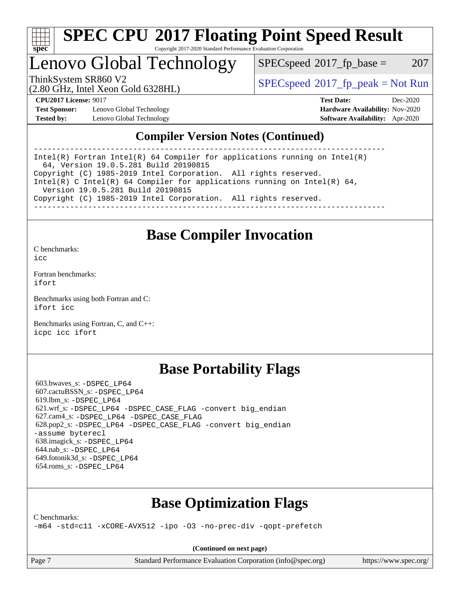

#### **[SPEC CPU](http://www.spec.org/auto/cpu2017/Docs/result-fields.html#SPECCPU2017FloatingPointSpeedResult)[2017 Floating Point Speed Result](http://www.spec.org/auto/cpu2017/Docs/result-fields.html#SPECCPU2017FloatingPointSpeedResult)** Copyright 2017-2020 Standard Performance Evaluation Corporation

Lenovo Global Technology

 $SPEC speed^{\circ}2017\_fp\_base = 207$ 

(2.80 GHz, Intel Xeon Gold 6328HL)

ThinkSystem SR860 V2<br>  $\begin{array}{c} \text{SPEC speed} \text{?}2017 \text{ fp\_peak} = \text{Not Run} \end{array}$ 

**[Test Sponsor:](http://www.spec.org/auto/cpu2017/Docs/result-fields.html#TestSponsor)** Lenovo Global Technology **[Hardware Availability:](http://www.spec.org/auto/cpu2017/Docs/result-fields.html#HardwareAvailability)** Nov-2020 **[Tested by:](http://www.spec.org/auto/cpu2017/Docs/result-fields.html#Testedby)** Lenovo Global Technology **[Software Availability:](http://www.spec.org/auto/cpu2017/Docs/result-fields.html#SoftwareAvailability)** Apr-2020

**[CPU2017 License:](http://www.spec.org/auto/cpu2017/Docs/result-fields.html#CPU2017License)** 9017 **[Test Date:](http://www.spec.org/auto/cpu2017/Docs/result-fields.html#TestDate)** Dec-2020

#### **[Compiler Version Notes \(Continued\)](http://www.spec.org/auto/cpu2017/Docs/result-fields.html#CompilerVersionNotes)**

------------------------------------------------------------------------------ Intel(R) Fortran Intel(R) 64 Compiler for applications running on Intel(R) 64, Version 19.0.5.281 Build 20190815 Copyright (C) 1985-2019 Intel Corporation. All rights reserved. Intel(R) C Intel(R) 64 Compiler for applications running on Intel(R)  $64$ , Version 19.0.5.281 Build 20190815 Copyright (C) 1985-2019 Intel Corporation. All rights reserved. ------------------------------------------------------------------------------

## **[Base Compiler Invocation](http://www.spec.org/auto/cpu2017/Docs/result-fields.html#BaseCompilerInvocation)**

[C benchmarks](http://www.spec.org/auto/cpu2017/Docs/result-fields.html#Cbenchmarks):  $i$ cc

[Fortran benchmarks](http://www.spec.org/auto/cpu2017/Docs/result-fields.html#Fortranbenchmarks): [ifort](http://www.spec.org/cpu2017/results/res2020q4/cpu2017-20201207-24550.flags.html#user_FCbase_intel_ifort_8111460550e3ca792625aed983ce982f94888b8b503583aa7ba2b8303487b4d8a21a13e7191a45c5fd58ff318f48f9492884d4413fa793fd88dd292cad7027ca)

[Benchmarks using both Fortran and C](http://www.spec.org/auto/cpu2017/Docs/result-fields.html#BenchmarksusingbothFortranandC): [ifort](http://www.spec.org/cpu2017/results/res2020q4/cpu2017-20201207-24550.flags.html#user_CC_FCbase_intel_ifort_8111460550e3ca792625aed983ce982f94888b8b503583aa7ba2b8303487b4d8a21a13e7191a45c5fd58ff318f48f9492884d4413fa793fd88dd292cad7027ca) [icc](http://www.spec.org/cpu2017/results/res2020q4/cpu2017-20201207-24550.flags.html#user_CC_FCbase_intel_icc_66fc1ee009f7361af1fbd72ca7dcefbb700085f36577c54f309893dd4ec40d12360134090235512931783d35fd58c0460139e722d5067c5574d8eaf2b3e37e92)

[Benchmarks using Fortran, C, and C++:](http://www.spec.org/auto/cpu2017/Docs/result-fields.html#BenchmarksusingFortranCandCXX) [icpc](http://www.spec.org/cpu2017/results/res2020q4/cpu2017-20201207-24550.flags.html#user_CC_CXX_FCbase_intel_icpc_c510b6838c7f56d33e37e94d029a35b4a7bccf4766a728ee175e80a419847e808290a9b78be685c44ab727ea267ec2f070ec5dc83b407c0218cded6866a35d07) [icc](http://www.spec.org/cpu2017/results/res2020q4/cpu2017-20201207-24550.flags.html#user_CC_CXX_FCbase_intel_icc_66fc1ee009f7361af1fbd72ca7dcefbb700085f36577c54f309893dd4ec40d12360134090235512931783d35fd58c0460139e722d5067c5574d8eaf2b3e37e92) [ifort](http://www.spec.org/cpu2017/results/res2020q4/cpu2017-20201207-24550.flags.html#user_CC_CXX_FCbase_intel_ifort_8111460550e3ca792625aed983ce982f94888b8b503583aa7ba2b8303487b4d8a21a13e7191a45c5fd58ff318f48f9492884d4413fa793fd88dd292cad7027ca)

## **[Base Portability Flags](http://www.spec.org/auto/cpu2017/Docs/result-fields.html#BasePortabilityFlags)**

 603.bwaves\_s: [-DSPEC\\_LP64](http://www.spec.org/cpu2017/results/res2020q4/cpu2017-20201207-24550.flags.html#suite_basePORTABILITY603_bwaves_s_DSPEC_LP64) 607.cactuBSSN\_s: [-DSPEC\\_LP64](http://www.spec.org/cpu2017/results/res2020q4/cpu2017-20201207-24550.flags.html#suite_basePORTABILITY607_cactuBSSN_s_DSPEC_LP64) 619.lbm\_s: [-DSPEC\\_LP64](http://www.spec.org/cpu2017/results/res2020q4/cpu2017-20201207-24550.flags.html#suite_basePORTABILITY619_lbm_s_DSPEC_LP64) 621.wrf\_s: [-DSPEC\\_LP64](http://www.spec.org/cpu2017/results/res2020q4/cpu2017-20201207-24550.flags.html#suite_basePORTABILITY621_wrf_s_DSPEC_LP64) [-DSPEC\\_CASE\\_FLAG](http://www.spec.org/cpu2017/results/res2020q4/cpu2017-20201207-24550.flags.html#b621.wrf_s_baseCPORTABILITY_DSPEC_CASE_FLAG) [-convert big\\_endian](http://www.spec.org/cpu2017/results/res2020q4/cpu2017-20201207-24550.flags.html#user_baseFPORTABILITY621_wrf_s_convert_big_endian_c3194028bc08c63ac5d04de18c48ce6d347e4e562e8892b8bdbdc0214820426deb8554edfa529a3fb25a586e65a3d812c835984020483e7e73212c4d31a38223) 627.cam4\_s: [-DSPEC\\_LP64](http://www.spec.org/cpu2017/results/res2020q4/cpu2017-20201207-24550.flags.html#suite_basePORTABILITY627_cam4_s_DSPEC_LP64) [-DSPEC\\_CASE\\_FLAG](http://www.spec.org/cpu2017/results/res2020q4/cpu2017-20201207-24550.flags.html#b627.cam4_s_baseCPORTABILITY_DSPEC_CASE_FLAG) 628.pop2\_s: [-DSPEC\\_LP64](http://www.spec.org/cpu2017/results/res2020q4/cpu2017-20201207-24550.flags.html#suite_basePORTABILITY628_pop2_s_DSPEC_LP64) [-DSPEC\\_CASE\\_FLAG](http://www.spec.org/cpu2017/results/res2020q4/cpu2017-20201207-24550.flags.html#b628.pop2_s_baseCPORTABILITY_DSPEC_CASE_FLAG) [-convert big\\_endian](http://www.spec.org/cpu2017/results/res2020q4/cpu2017-20201207-24550.flags.html#user_baseFPORTABILITY628_pop2_s_convert_big_endian_c3194028bc08c63ac5d04de18c48ce6d347e4e562e8892b8bdbdc0214820426deb8554edfa529a3fb25a586e65a3d812c835984020483e7e73212c4d31a38223) [-assume byterecl](http://www.spec.org/cpu2017/results/res2020q4/cpu2017-20201207-24550.flags.html#user_baseFPORTABILITY628_pop2_s_assume_byterecl_7e47d18b9513cf18525430bbf0f2177aa9bf368bc7a059c09b2c06a34b53bd3447c950d3f8d6c70e3faf3a05c8557d66a5798b567902e8849adc142926523472) 638.imagick\_s: [-DSPEC\\_LP64](http://www.spec.org/cpu2017/results/res2020q4/cpu2017-20201207-24550.flags.html#suite_basePORTABILITY638_imagick_s_DSPEC_LP64) 644.nab\_s: [-DSPEC\\_LP64](http://www.spec.org/cpu2017/results/res2020q4/cpu2017-20201207-24550.flags.html#suite_basePORTABILITY644_nab_s_DSPEC_LP64) 649.fotonik3d\_s: [-DSPEC\\_LP64](http://www.spec.org/cpu2017/results/res2020q4/cpu2017-20201207-24550.flags.html#suite_basePORTABILITY649_fotonik3d_s_DSPEC_LP64) 654.roms\_s: [-DSPEC\\_LP64](http://www.spec.org/cpu2017/results/res2020q4/cpu2017-20201207-24550.flags.html#suite_basePORTABILITY654_roms_s_DSPEC_LP64)

## **[Base Optimization Flags](http://www.spec.org/auto/cpu2017/Docs/result-fields.html#BaseOptimizationFlags)**

[C benchmarks](http://www.spec.org/auto/cpu2017/Docs/result-fields.html#Cbenchmarks):

[-m64](http://www.spec.org/cpu2017/results/res2020q4/cpu2017-20201207-24550.flags.html#user_CCbase_m64-icc) [-std=c11](http://www.spec.org/cpu2017/results/res2020q4/cpu2017-20201207-24550.flags.html#user_CCbase_std-icc-std_0e1c27790398a4642dfca32ffe6c27b5796f9c2d2676156f2e42c9c44eaad0c049b1cdb667a270c34d979996257aeb8fc440bfb01818dbc9357bd9d174cb8524) [-xCORE-AVX512](http://www.spec.org/cpu2017/results/res2020q4/cpu2017-20201207-24550.flags.html#user_CCbase_f-xCORE-AVX512) [-ipo](http://www.spec.org/cpu2017/results/res2020q4/cpu2017-20201207-24550.flags.html#user_CCbase_f-ipo) [-O3](http://www.spec.org/cpu2017/results/res2020q4/cpu2017-20201207-24550.flags.html#user_CCbase_f-O3) [-no-prec-div](http://www.spec.org/cpu2017/results/res2020q4/cpu2017-20201207-24550.flags.html#user_CCbase_f-no-prec-div) [-qopt-prefetch](http://www.spec.org/cpu2017/results/res2020q4/cpu2017-20201207-24550.flags.html#user_CCbase_f-qopt-prefetch)

**(Continued on next page)**

Page 7 Standard Performance Evaluation Corporation [\(info@spec.org\)](mailto:info@spec.org) <https://www.spec.org/>